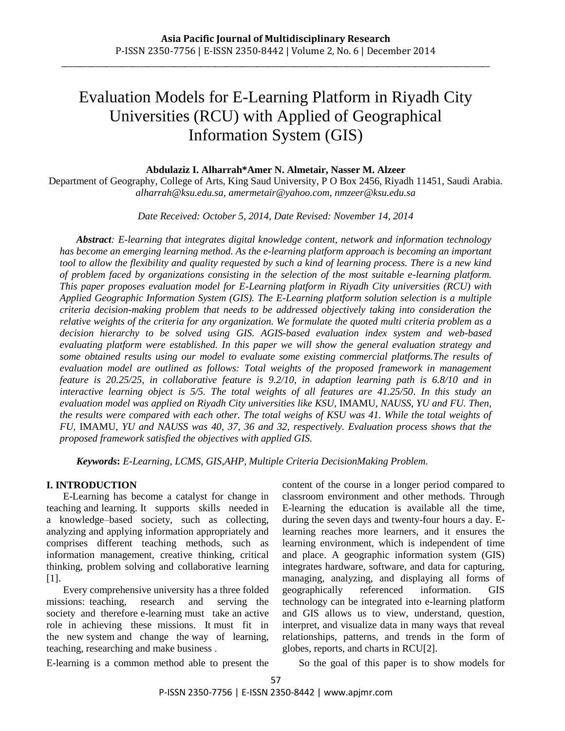# Evaluation Models for E-Learning Platform in Riyadh City Universities (RCU) with Applied of Geographical Information System (GIS)

#### **Abdulaziz I. Alharrah\*Amer N. Almetair, Nasser M. Alzeer**

Department of Geography, College of Arts, King Saud University, P O Box 2456, Riyadh 11451, Saudi Arabia. *alharrah@ksu.edu.sa, amermetair@yahoo.com, nmzeer@ksu.edu.sa*

*Date Received: October 5, 2014, Date Revised: November 14, 2014*

*Abstract: E-learning that integrates digital knowledge content, network and information technology has become an emerging learning method. As the e-learning platform approach is becoming an important tool to allow the flexibility and quality requested by such a kind of learning process. There is a new kind of problem faced by organizations consisting in the selection of the most suitable e-learning platform. This paper proposes evaluation model for E-Learning platform in Riyadh City universities (RCU) with Applied Geographic Information System (GIS). The E-Learning platform solution selection is a multiple criteria decision-making problem that needs to be addressed objectively taking into consideration the relative weights of the criteria for any organization. We formulate the quoted multi criteria problem as a decision hierarchy to be solved using GIS. AGIS-based evaluation index system and web-based evaluating platform were established. In this paper we will show the general evaluation strategy and some obtained results using our model to evaluate some existing commercial platforms.The results of evaluation model are outlined as follows: Total weights of the proposed framework in management feature is 20.25/25, in collaborative feature is 9.2/10, in adaption learning path is 6.8/10 and in interactive learning object is 5/5. The total weights of all features are 41.25/50. In this study an evaluation model was applied on Riyadh City universities like KSU,* IMAMU, *NAUSS, YU and FU. Then, the results were compared with each other. The total weighs of KSU was 41. While the total weights of FU,* IMAMU, *YU and NAUSS was 40, 37, 36 and 32, respectively. Evaluation process shows that the proposed framework satisfied the objectives with applied GIS.*

*Keywords***:** *E-Learning, LCMS, GIS,AHP, Multiple Criteria DecisionMaking Problem.*

## **I. INTRODUCTION**

E-Learning has become a catalyst for change in teaching and learning. It supports skills needed in a knowledge–based society, such as collecting, analyzing and applying information appropriately and comprises different teaching methods, such as information management, creative thinking, critical thinking, problem solving and collaborative learning  $[1]$ .

Every comprehensive university has a three folded missions: teaching, research and serving the society and therefore e-learning must take an active role in achieving these missions. It must fit in the new system and change the way of learning, teaching, researching and make business .

content of the course in a longer period compared to classroom environment and other methods. Through E-learning the education is available all the time, during the seven days and twenty-four hours a day. Elearning reaches more learners, and it ensures the learning environment, which is independent of time and place. A geographic information system (GIS) integrates hardware, software, and data for capturing, managing, analyzing, and displaying all forms of geographically referenced information. GIS technology can be integrated into e-learning platform and GIS allows us to view, understand, question, interpret, and visualize data in many ways that reveal relationships, patterns, and trends in the form of globes, reports, and charts in RCU[2].

E-learning is a common method able to present the

So the goal of this paper is to show models for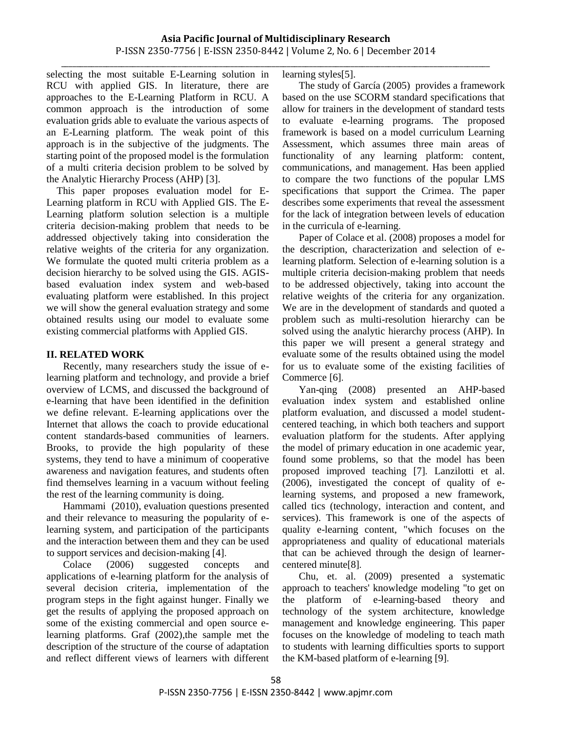\_\_\_\_\_\_\_\_\_\_\_\_\_\_\_\_\_\_\_\_\_\_\_\_\_\_\_\_\_\_\_\_\_\_\_\_\_\_\_\_\_\_\_\_\_\_\_\_\_\_\_\_\_\_\_\_\_\_\_\_\_\_\_\_\_\_\_\_\_\_\_\_\_\_\_\_\_\_\_\_\_\_\_\_\_\_\_\_\_\_\_\_\_\_\_\_\_\_\_\_\_\_\_\_\_\_\_\_\_\_\_\_\_\_ selecting the most suitable E-Learning solution in RCU with applied GIS. In literature, there are approaches to the E-Learning Platform in RCU. A common approach is the introduction of some evaluation grids able to evaluate the various aspects of an E-Learning platform. The weak point of this approach is in the subjective of the judgments. The starting point of the proposed model is the formulation of a multi criteria decision problem to be solved by the Analytic Hierarchy Process (AHP) [3].

 This paper proposes evaluation model for E-Learning platform in RCU with Applied GIS. The E-Learning platform solution selection is a multiple criteria decision-making problem that needs to be addressed objectively taking into consideration the relative weights of the criteria for any organization. We formulate the quoted multi criteria problem as a decision hierarchy to be solved using the GIS. AGISbased evaluation index system and web-based evaluating platform were established. In this project we will show the general evaluation strategy and some obtained results using our model to evaluate some existing commercial platforms with Applied GIS.

## **II. RELATED WORK**

Recently, many researchers study the issue of elearning platform and technology, and provide a brief overview of LCMS, and discussed the background of e-learning that have been identified in the definition we define relevant. E-learning applications over the Internet that allows the coach to provide educational content standards-based communities of learners. Brooks, to provide the high popularity of these systems, they tend to have a minimum of cooperative awareness and navigation features, and students often find themselves learning in a vacuum without feeling the rest of the learning community is doing.

Hammami (2010), evaluation questions presented and their relevance to measuring the popularity of elearning system, and participation of the participants and the interaction between them and they can be used to support services and decision-making [4].

Colace (2006) suggested concepts and applications of e-learning platform for the analysis of several decision criteria, implementation of the program steps in the fight against hunger. Finally we get the results of applying the proposed approach on some of the existing commercial and open source elearning platforms. Graf (2002),the sample met the description of the structure of the course of adaptation and reflect different views of learners with different learning styles[5].

The study of García (2005) provides a framework based on the use SCORM standard specifications that allow for trainers in the development of standard tests to evaluate e-learning programs. The proposed framework is based on a model curriculum Learning Assessment, which assumes three main areas of functionality of any learning platform: content, communications, and management. Has been applied to compare the two functions of the popular LMS specifications that support the Crimea. The paper describes some experiments that reveal the assessment for the lack of integration between levels of education in the curricula of e-learning.

Paper of Colace et al. (2008) proposes a model for the description, characterization and selection of elearning platform. Selection of e-learning solution is a multiple criteria decision-making problem that needs to be addressed objectively, taking into account the relative weights of the criteria for any organization. We are in the development of standards and quoted a problem such as multi-resolution hierarchy can be solved using the analytic hierarchy process (AHP). In this paper we will present a general strategy and evaluate some of the results obtained using the model for us to evaluate some of the existing facilities of Commerce [6].

Yan-qing (2008) presented an AHP-based evaluation index system and established online platform evaluation, and discussed a model studentcentered teaching, in which both teachers and support evaluation platform for the students. After applying the model of primary education in one academic year, found some problems, so that the model has been proposed improved teaching [7]. Lanzilotti et al. (2006), investigated the concept of quality of elearning systems, and proposed a new framework, called tics (technology, interaction and content, and services). This framework is one of the aspects of quality e-learning content, "which focuses on the appropriateness and quality of educational materials that can be achieved through the design of learnercentered minute[8].

Chu, et. al. (2009) presented a systematic approach to teachers' knowledge modeling "to get on the platform of e-learning-based theory and technology of the system architecture, knowledge management and knowledge engineering. This paper focuses on the knowledge of modeling to teach math to students with learning difficulties sports to support the KM-based platform of e-learning [9].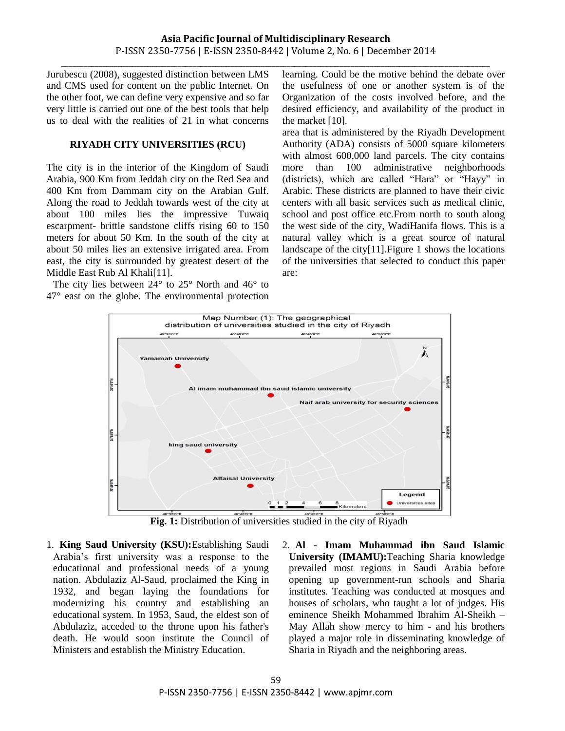Jurubescu (2008), suggested distinction between LMS and CMS used for content on the public Internet. On the other foot, we can define very expensive and so far very little is carried out one of the best tools that help us to deal with the realities of 21 in what concerns

#### **RIYADH CITY UNIVERSITIES (RCU)**

The city is in the interior of the Kingdom of Saudi Arabia, 900 Km from Jeddah city on the Red Sea and 400 Km from Dammam city on the Arabian Gulf. Along the road to Jeddah towards west of the city at about 100 miles lies the impressive Tuwaiq escarpment- brittle sandstone cliffs rising 60 to 150 meters for about 50 Km. In the south of the city at about 50 miles lies an extensive irrigated area. From east, the city is surrounded by greatest desert of the Middle East Rub Al Khali[11].

The city lies between 24° to 25° North and 46° to 47° east on the globe. The environmental protection learning. Could be the motive behind the debate over the usefulness of one or another system is of the Organization of the costs involved before, and the desired efficiency, and availability of the product in the market [10].

area that is administered by the Riyadh Development Authority (ADA) consists of 5000 square kilometers with almost 600,000 land parcels. The city contains more than 100 administrative neighborhoods (districts), which are called "Hara" or "Hayy" in Arabic. These districts are planned to have their civic centers with all basic services such as medical clinic, school and post office etc.From north to south along the west side of the city, WadiHanifa flows. This is a natural valley which is a great source of natural landscape of the city[11].Figure 1 shows the locations of the universities that selected to conduct this paper are:



**Fig. 1:** Distribution of universities studied in the city of Riyadh

1. **King Saud University (KSU):**Establishing Saudi Arabia's first university was a response to the educational and professional needs of a young nation. Abdulaziz Al-Saud, proclaimed the King in 1932, and began laying the foundations for modernizing his country and establishing an educational system. In 1953, Saud, the eldest son of Abdulaziz, acceded to the throne upon his father's death. He would soon institute the Council of Ministers and establish the Ministry Education.

2. **Al - Imam Muhammad ibn Saud Islamic University (IMAMU):**Teaching Sharia knowledge prevailed most regions in Saudi Arabia before opening up government-run schools and Sharia institutes. Teaching was conducted at mosques and houses of scholars, who taught a lot of judges. His eminence Sheikh Mohammed Ibrahim Al-Sheikh – May Allah show mercy to him - and his brothers played a major role in disseminating knowledge of Sharia in Riyadh and the neighboring areas.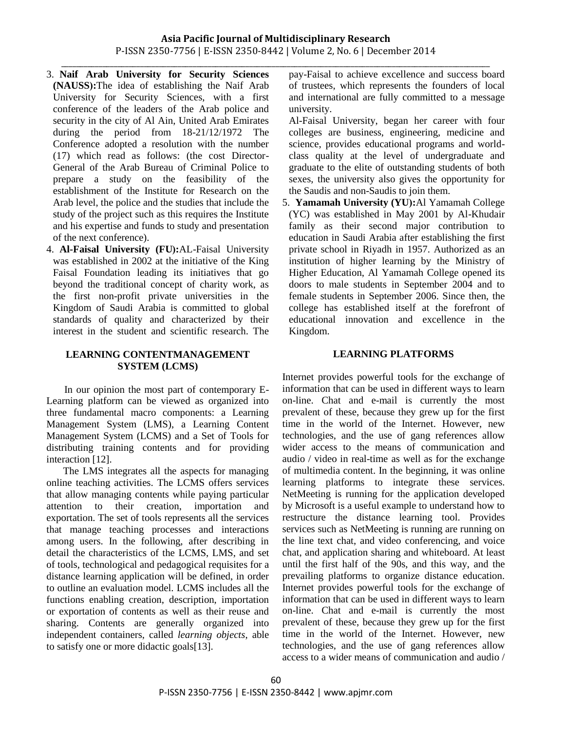# **Asia Pacific Journal of Multidisciplinary Research** P-ISSN 2350-7756 | E-ISSN 2350-8442 | Volume 2, No. 6 | December 2014

\_\_\_\_\_\_\_\_\_\_\_\_\_\_\_\_\_\_\_\_\_\_\_\_\_\_\_\_\_\_\_\_\_\_\_\_\_\_\_\_\_\_\_\_\_\_\_\_\_\_\_\_\_\_\_\_\_\_\_\_\_\_\_\_\_\_\_\_\_\_\_\_\_\_\_\_\_\_\_\_\_\_\_\_\_\_\_\_\_\_\_\_\_\_\_\_\_\_\_\_\_\_\_\_\_\_\_\_\_\_\_\_\_\_

- 3. **Naif Arab University for Security Sciences (NAUSS):** The idea of establishing the Naif Arab University for Security Sciences, with a first conference of the leaders of the Arab police and security in the city of Al Ain, United Arab Emirates during the period from 18-21/12/1972 The Conference adopted a resolution with the number (17) which read as follows: (the cost Director-General of the Arab Bureau of Criminal Police to prepare a study on the feasibility of the establishment of the Institute for Research on the Arab level, the police and the studies that include the study of the project such as this requires the Institute and his expertise and funds to study and presentation of the next conference).
- 4. **Al-Faisal University (FU):**AL-Faisal University was established in 2002 at the initiative of the King Faisal Foundation leading its initiatives that go beyond the traditional concept of charity work, as the first non-profit private universities in the Kingdom of Saudi Arabia is committed to global standards of quality and characterized by their interest in the student and scientific research. The

#### **LEARNING CONTENTMANAGEMENT SYSTEM (LCMS)**

 In our opinion the most part of contemporary E-Learning platform can be viewed as organized into three fundamental macro components: a Learning Management System (LMS), a Learning Content Management System (LCMS) and a Set of Tools for distributing training contents and for providing interaction [12].

The LMS integrates all the aspects for managing online teaching activities. The LCMS offers services that allow managing contents while paying particular attention to their creation, importation and exportation. The set of tools represents all the services that manage teaching processes and interactions among users. In the following, after describing in detail the characteristics of the LCMS, LMS, and set of tools, technological and pedagogical requisites for a distance learning application will be defined, in order to outline an evaluation model. LCMS includes all the functions enabling creation, description, importation or exportation of contents as well as their reuse and sharing. Contents are generally organized into independent containers, called *learning objects*, able to satisfy one or more didactic goals[13].

pay-Faisal to achieve excellence and success board of trustees, which represents the founders of local and international are fully committed to a message university.

Al-Faisal University, began her career with four colleges are business, engineering, medicine and science, provides educational programs and worldclass quality at the level of undergraduate and graduate to the elite of outstanding students of both sexes, the university also gives the opportunity for the Saudis and non-Saudis to join them.

5. Yamamah University (YU): Al Yamamah College (YC) was established in May 2001 by Al-Khudair family as their second major contribution to education in Saudi Arabia after establishing the first private school in Riyadh in 1957. Authorized as an institution of higher learning by the Ministry of Higher Education, Al Yamamah College opened its doors to male students in September 2004 and to female students in September 2006. Since then, the college has established itself at the forefront of educational innovation and excellence in the Kingdom.

#### **LEARNING PLATFORMS**

Internet provides powerful tools for the exchange of information that can be used in different ways to learn on-line. Chat and e-mail is currently the most prevalent of these, because they grew up for the first time in the world of the Internet. However, new technologies, and the use of gang references allow wider access to the means of communication and audio / video in real-time as well as for the exchange of multimedia content. In the beginning, it was online learning platforms to integrate these services. NetMeeting is running for the application developed by Microsoft is a useful example to understand how to restructure the distance learning tool. Provides services such as NetMeeting is running are running on the line text chat, and video conferencing, and voice chat, and application sharing and whiteboard. At least until the first half of the 90s, and this way, and the prevailing platforms to organize distance education. Internet provides powerful tools for the exchange of information that can be used in different ways to learn on-line. Chat and e-mail is currently the most prevalent of these, because they grew up for the first time in the world of the Internet. However, new technologies, and the use of gang references allow access to a wider means of communication and audio /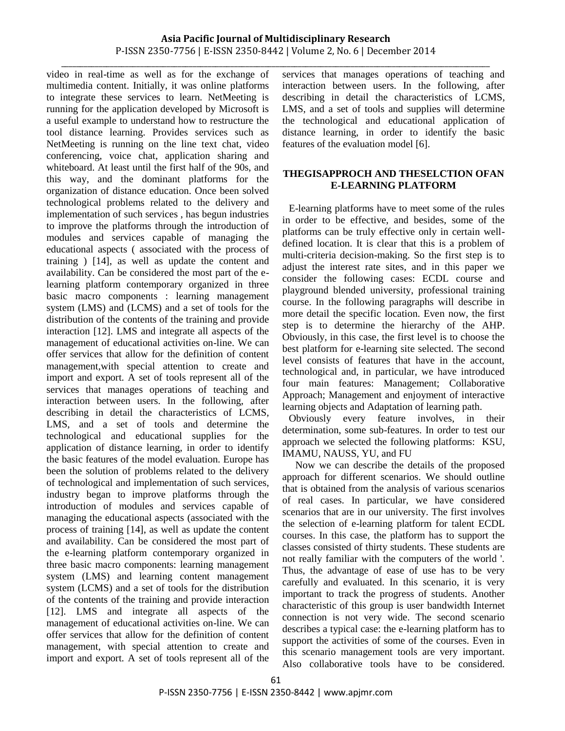video in real-time as well as for the exchange of multimedia content. Initially, it was online platforms to integrate these services to learn. NetMeeting is running for the application developed by Microsoft is a useful example to understand how to restructure the tool distance learning. Provides services such as NetMeeting is running on the line text chat, video conferencing, voice chat, application sharing and whiteboard. At least until the first half of the 90s, and this way, and the dominant platforms for the organization of distance education. Once been solved technological problems related to the delivery and implementation of such services , has begun industries to improve the platforms through the introduction of modules and services capable of managing the educational aspects ( associated with the process of training ) [14], as well as update the content and availability. Can be considered the most part of the elearning platform contemporary organized in three basic macro components : learning management system (LMS) and (LCMS) and a set of tools for the distribution of the contents of the training and provide interaction [12]. LMS and integrate all aspects of the management of educational activities on-line. We can offer services that allow for the definition of content management,with special attention to create and import and export. A set of tools represent all of the services that manages operations of teaching and interaction between users. In the following, after describing in detail the characteristics of LCMS, LMS, and a set of tools and determine the technological and educational supplies for the application of distance learning, in order to identify the basic features of the model evaluation. Europe has been the solution of problems related to the delivery of technological and implementation of such services, industry began to improve platforms through the introduction of modules and services capable of managing the educational aspects (associated with the process of training [14], as well as update the content and availability. Can be considered the most part of the e-learning platform contemporary organized in three basic macro components: learning management system (LMS) and learning content management system (LCMS) and a set of tools for the distribution of the contents of the training and provide interaction [12]. LMS and integrate all aspects of the management of educational activities on-line. We can offer services that allow for the definition of content management, with special attention to create and import and export. A set of tools represent all of the

\_\_\_\_\_\_\_\_\_\_\_\_\_\_\_\_\_\_\_\_\_\_\_\_\_\_\_\_\_\_\_\_\_\_\_\_\_\_\_\_\_\_\_\_\_\_\_\_\_\_\_\_\_\_\_\_\_\_\_\_\_\_\_\_\_\_\_\_\_\_\_\_\_\_\_\_\_\_\_\_\_\_\_\_\_\_\_\_\_\_\_\_\_\_\_\_\_\_\_\_\_\_\_\_\_\_\_\_\_\_\_\_\_\_ services that manages operations of teaching and interaction between users. In the following, after describing in detail the characteristics of LCMS, LMS, and a set of tools and supplies will determine the technological and educational application of distance learning, in order to identify the basic features of the evaluation model [6].

# **THEGISAPPROCH AND THESELCTION OFAN E-LEARNING PLATFORM**

E-learning platforms have to meet some of the rules in order to be effective, and besides, some of the platforms can be truly effective only in certain welldefined location. It is clear that this is a problem of multi-criteria decision-making. So the first step is to adjust the interest rate sites, and in this paper we consider the following cases: ECDL course and playground blended university, professional training course. In the following paragraphs will describe in more detail the specific location. Even now, the first step is to determine the hierarchy of the AHP. Obviously, in this case, the first level is to choose the best platform for e-learning site selected. The second level consists of features that have in the account, technological and, in particular, we have introduced four main features: Management; Collaborative Approach; Management and enjoyment of interactive learning objects and Adaptation of learning path.

Obviously every feature involves, in their determination, some sub-features. In order to test our approach we selected the following platforms: KSU, IMAMU, NAUSS, YU, and FU

Now we can describe the details of the proposed approach for different scenarios. We should outline that is obtained from the analysis of various scenarios of real cases. In particular, we have considered scenarios that are in our university. The first involves the selection of e-learning platform for talent ECDL courses. In this case, the platform has to support the classes consisted of thirty students. These students are not really familiar with the computers of the world '. Thus, the advantage of ease of use has to be very carefully and evaluated. In this scenario, it is very important to track the progress of students. Another characteristic of this group is user bandwidth Internet connection is not very wide. The second scenario describes a typical case: the e-learning platform has to support the activities of some of the courses. Even in this scenario management tools are very important. Also collaborative tools have to be considered.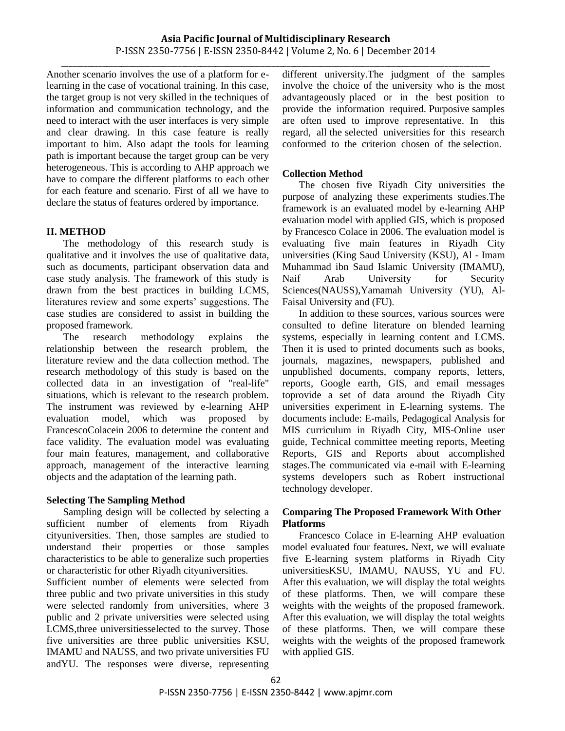\_\_\_\_\_\_\_\_\_\_\_\_\_\_\_\_\_\_\_\_\_\_\_\_\_\_\_\_\_\_\_\_\_\_\_\_\_\_\_\_\_\_\_\_\_\_\_\_\_\_\_\_\_\_\_\_\_\_\_\_\_\_\_\_\_\_\_\_\_\_\_\_\_\_\_\_\_\_\_\_\_\_\_\_\_\_\_\_\_\_\_\_\_\_\_\_\_\_\_\_\_\_\_\_\_\_\_\_\_\_\_\_\_\_

Another scenario involves the use of a platform for elearning in the case of vocational training. In this case, the target group is not very skilled in the techniques of information and communication technology, and the need to interact with the user interfaces is very simple and clear drawing. In this case feature is really important to him. Also adapt the tools for learning path is important because the target group can be very heterogeneous. This is according to AHP approach we have to compare the different platforms to each other for each feature and scenario. First of all we have to declare the status of features ordered by importance.

# **II. METHOD**

The methodology of this research study is qualitative and it involves the use of qualitative data, such as documents, participant observation data and case study analysis. The framework of this study is drawn from the best practices in building LCMS, literatures review and some experts' suggestions. The case studies are considered to assist in building the proposed framework.

The research methodology explains the relationship between the research problem, the literature review and the data collection method. The research methodology of this study is based on the collected data in an investigation of "real-life" situations, which is relevant to the research problem. The instrument was reviewed by e-learning AHP evaluation model, which was proposed by FrancescoColacein 2006 to determine the content and face validity. The evaluation model was evaluating four main features, management, and collaborative approach, management of the interactive learning objects and the adaptation of the learning path.

# **Selecting The Sampling Method**

Sampling design will be collected by selecting a sufficient number of elements from Riyadh cityuniversities. Then, those samples are studied to understand their properties or those samples characteristics to be able to generalize such properties or characteristic for other Riyadh cityuniversities.

Sufficient number of elements were selected from three public and two private universities in this study were selected randomly from universities, where 3 public and 2 private universities were selected using LCMS,three universitiesselected to the survey. Those five universities are three public universities KSU, IMAMU and NAUSS, and two private universities FU andYU. The responses were diverse, representing different university.The judgment of the samples involve the choice of the university who is the most advantageously placed or in the best position to provide the information required. Purposive samples are often used to improve representative. In this regard, all the selected universities for this research conformed to the criterion chosen of the selection.

# **Collection Method**

The chosen five Riyadh City universities the purpose of analyzing these experiments studies.The framework is an evaluated model by e-learning AHP evaluation model with applied GIS, which is proposed by Francesco Colace in 2006. The evaluation model is evaluating five main features in Riyadh City universities (King Saud University (KSU), Al - [Imam](http://www.imamu.edu.sa/SITES/EN/Pages/default.aspx)  [Muhammad ibn Saud Islamic University](http://www.imamu.edu.sa/SITES/EN/Pages/default.aspx) (IMAMU), Naif Arab University for Security Sciences(NAUSS),Yamamah University (YU), [Al-](http://www.kfu.edu.sa/en/about/Pages/DevelopmentProcess.aspx)[Faisal University](http://www.kfu.edu.sa/en/about/Pages/DevelopmentProcess.aspx) and (FU).

In addition to these sources, various sources were consulted to define literature on blended learning systems, especially in learning content and LCMS. Then it is used to printed documents such as books, journals, magazines, newspapers, published and unpublished documents, company reports, letters, reports, Google earth, GIS, and email messages toprovide a set of data around the Riyadh City universities experiment in E-learning systems. The documents include: E-mails, Pedagogical Analysis for MIS curriculum in Riyadh City, MIS-Online user guide, Technical committee meeting reports, Meeting Reports, GIS and Reports about accomplished stages.The communicated via e-mail with E-learning systems developers such as Robert instructional technology developer.

# **Comparing The Proposed Framework With Other Platforms**

Francesco Colace in E-learning AHP evaluation model evaluated four features**.** Next, we will evaluate five E-learning system platforms in Riyadh City universitiesKSU, IMAMU, NAUSS, YU and FU. After this evaluation, we will display the total weights of these platforms. Then, we will compare these weights with the weights of the proposed framework. After this evaluation, we will display the total weights of these platforms. Then, we will compare these weights with the weights of the proposed framework with applied GIS.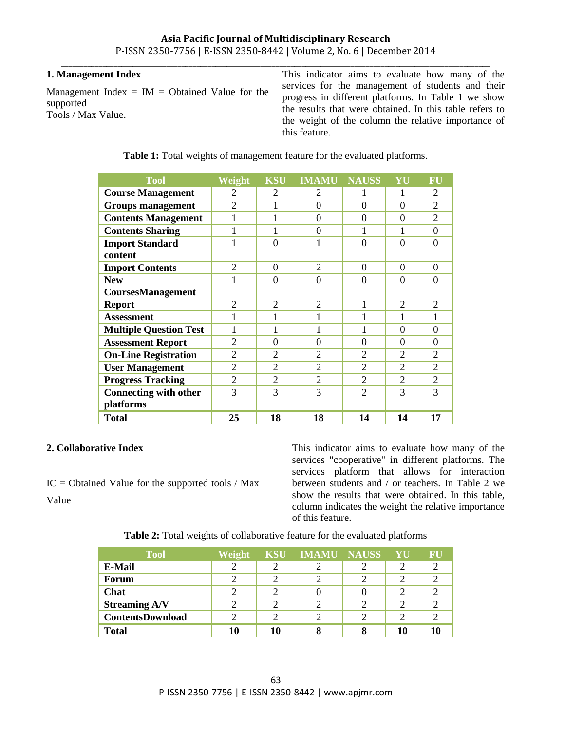## **Asia Pacific Journal of Multidisciplinary Research** P-ISSN 2350-7756 | E-ISSN 2350-8442 | Volume 2, No. 6 | December 2014 \_\_\_\_\_\_\_\_\_\_\_\_\_\_\_\_\_\_\_\_\_\_\_\_\_\_\_\_\_\_\_\_\_\_\_\_\_\_\_\_\_\_\_\_\_\_\_\_\_\_\_\_\_\_\_\_\_\_\_\_\_\_\_\_\_\_\_\_\_\_\_\_\_\_\_\_\_\_\_\_\_\_\_\_\_\_\_\_\_\_\_\_\_\_\_\_\_\_\_\_\_\_\_\_\_\_\_\_\_\_\_\_\_\_

## **1. Management Index**

Management Index  $=$  IM  $=$  Obtained Value for the supported Tools / Max Value.

This indicator aims to evaluate how many of the services for the management of students and their progress in different platforms. In Table 1 we show the results that were obtained. In this table refers to the weight of the column the relative importance of this feature.

| <b>Tool</b>                   | Weight         | <b>KSU</b>     | <b>IMAMU</b>   | <b>NAUSS</b>                | YU                          | FU       |
|-------------------------------|----------------|----------------|----------------|-----------------------------|-----------------------------|----------|
| <b>Course Management</b>      | $\overline{2}$ | 2              | 2              | 1                           | 1                           | 2        |
| <b>Groups management</b>      | $\overline{2}$ | 1              | 0              | $\theta$                    | $\Omega$                    | 2        |
| <b>Contents Management</b>    | 1              | 1              | $\theta$       | $\theta$                    | $\Omega$                    | 2        |
| <b>Contents Sharing</b>       | 1              | 1              | $\theta$       | 1                           | 1                           | $\Omega$ |
| <b>Import Standard</b>        | 1              | $\theta$       | 1              | $\theta$                    | $\Omega$                    | $\Omega$ |
| content                       |                |                |                |                             |                             |          |
| <b>Import Contents</b>        | 2              | $\Omega$       | $\overline{2}$ | $\Omega$                    | $\Omega$                    | $\Omega$ |
| <b>New</b>                    | 1              | $\theta$       | $\overline{0}$ | $\theta$                    | $\Omega$                    | $\Omega$ |
| CoursesManagement             |                |                |                |                             |                             |          |
| <b>Report</b>                 | $\overline{2}$ | 2              | $\overline{2}$ | 1                           | $\overline{2}$              | 2        |
| <b>Assessment</b>             | $\mathbf{1}$   | 1              | 1              | 1                           | 1                           | 1        |
| <b>Multiple Question Test</b> | 1              | 1              | 1              | 1                           | $\Omega$                    | $\Omega$ |
| <b>Assessment Report</b>      | 2              | $\Omega$       | $\theta$       | $\Omega$                    | $\Omega$                    | $\Omega$ |
| <b>On-Line Registration</b>   | 2              | $\mathfrak{D}$ | 2              | $\mathcal{D}_{\mathcal{L}}$ | $\mathcal{D}_{\mathcal{L}}$ | 2        |
| <b>User Management</b>        | 2              | 2              | $\overline{2}$ | $\overline{2}$              | $\overline{2}$              | 2        |
| <b>Progress Tracking</b>      | 2              | $\mathfrak{D}$ | 2              | $\mathcal{D}_{\mathcal{L}}$ | $\overline{2}$              | 2        |
| <b>Connecting with other</b>  | 3              | 3              | 3              | $\overline{2}$              | 3                           | 3        |
| platforms                     |                |                |                |                             |                             |          |
| <b>Total</b>                  | 25             | 18             | 18             | 14                          | 14                          | 17       |

**Table 1:** Total weights of management feature for the evaluated platforms.

## **2. Collaborative Index**

 $IC = Obtained Value for the supported tools / Max$ Value

This indicator aims to evaluate how many of the services "cooperative" in different platforms. The services platform that allows for interaction between students and / or teachers. In Table 2 we show the results that were obtained. In this table, column indicates the weight the relative importance of this feature.

| <b>Table 2:</b> Total weights of collaborative feature for the evaluated platforms |
|------------------------------------------------------------------------------------|
|------------------------------------------------------------------------------------|

| <b>Tool</b>             | Weight | <b>KSU</b> | <b>IMAMU NAUSS</b> | YU | FU |
|-------------------------|--------|------------|--------------------|----|----|
| E-Mail                  | っ      |            |                    |    |    |
| Forum                   |        |            |                    |    |    |
| Chat                    |        |            |                    |    |    |
| <b>Streaming A/V</b>    |        |            |                    |    |    |
| <b>ContentsDownload</b> | ∍      |            |                    |    |    |
| <b>Total</b>            | 10     | 10         |                    | 10 |    |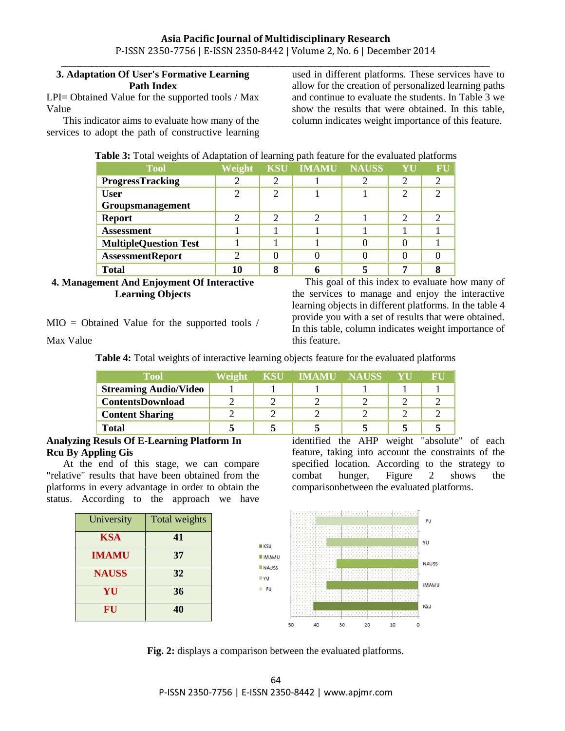# **3. Adaptation Of User's Formative Learning Path Index**

LPI= Obtained Value for the supported tools / Max Value

This indicator aims to evaluate how many of the services to adopt the path of constructive learning

\_\_\_\_\_\_\_\_\_\_\_\_\_\_\_\_\_\_\_\_\_\_\_\_\_\_\_\_\_\_\_\_\_\_\_\_\_\_\_\_\_\_\_\_\_\_\_\_\_\_\_\_\_\_\_\_\_\_\_\_\_\_\_\_\_\_\_\_\_\_\_\_\_\_\_\_\_\_\_\_\_\_\_\_\_\_\_\_\_\_\_\_\_\_\_\_\_\_\_\_\_\_\_\_\_\_\_\_\_\_\_\_\_\_ used in different platforms. These services have to allow for the creation of personalized learning paths and continue to evaluate the students. In Table 3 we show the results that were obtained. In this table, column indicates weight importance of this feature.

# **Table 3:** Total weights of Adaptation of learning path feature for the evaluated platforms

| <b>Tool</b>                  | Weight | <b>KSU</b> | <b>IMAMU</b> | <b>NAUSS</b> | YU | FU |
|------------------------------|--------|------------|--------------|--------------|----|----|
| <b>ProgressTracking</b>      |        |            |              |              | 2  |    |
| <b>User</b>                  |        |            |              |              | 2  |    |
| Groupsmanagement             |        |            |              |              |    |    |
| <b>Report</b>                |        |            |              |              | っ  |    |
| <b>Assessment</b>            |        |            |              |              |    |    |
| <b>MultipleQuestion Test</b> |        |            |              |              |    |    |
| <b>AssessmentReport</b>      |        |            |              |              |    |    |
| <b>Total</b>                 |        |            |              |              | 7  |    |

**4. Management And Enjoyment Of Interactive Learning Objects**

MIO = Obtained Value for the supported tools /

Max Value

**Table 4:** Total weights of interactive learning objects feature for the evaluated platforms

this feature.

| <b>Tool</b>                  | Weight | KSU - | <b>IMAMU NAUSS</b> | YU | RH |
|------------------------------|--------|-------|--------------------|----|----|
| <b>Streaming Audio/Video</b> |        |       |                    |    |    |
| <b>ContentsDownload</b>      |        |       |                    |    |    |
| <b>Content Sharing</b>       |        |       |                    |    |    |
| <b>Total</b>                 |        |       |                    |    |    |

## **Analyzing Resuls Of E-Learning Platform In Rcu By Appling Gis**

At the end of this stage, we can compare "relative" results that have been obtained from the platforms in every advantage in order to obtain the status. According to the approach we have

| University   | Total weights |
|--------------|---------------|
| <b>KSA</b>   | 41            |
| <b>IMAMU</b> | 37            |
| <b>NAUSS</b> | 32            |
| YU           | 36            |
| FU           | 40            |



identified the AHP weight "absolute" of each feature, taking into account the constraints of the specified location. According to the strategy to combat hunger, Figure 2 shows the comparisonbetween the evaluated platforms.

 This goal of this index to evaluate how many of the services to manage and enjoy the interactive learning objects in different platforms. In the table 4 provide you with a set of results that were obtained. In this table, column indicates weight importance of



**Fig. 2:** displays a comparison between the evaluated platforms.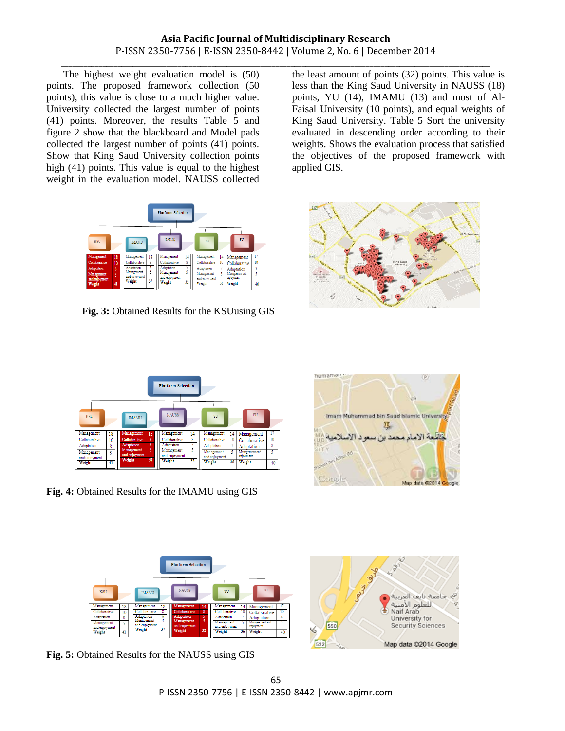The highest weight evaluation model is (50) points. The proposed framework collection (50 points), this value is close to a much higher value. University collected the largest number of points (41) points. Moreover, the results Table 5 and figure 2 show that the blackboard and Model pads collected the largest number of points (41) points. Show that King Saud University collection points high (41) points. This value is equal to the highest weight in the evaluation model. NAUSS collected



**Fig. 3:** Obtained Results for the KSUusing GIS

\_\_\_\_\_\_\_\_\_\_\_\_\_\_\_\_\_\_\_\_\_\_\_\_\_\_\_\_\_\_\_\_\_\_\_\_\_\_\_\_\_\_\_\_\_\_\_\_\_\_\_\_\_\_\_\_\_\_\_\_\_\_\_\_\_\_\_\_\_\_\_\_\_\_\_\_\_\_\_\_\_\_\_\_\_\_\_\_\_\_\_\_\_\_\_\_\_\_\_\_\_\_\_\_\_\_\_\_\_\_\_\_\_\_ the least amount of points (32) points. This value is less than the King Saud University in NAUSS (18) points, YU (14), IMAMU (13) and most of Al-Faisal University (10 points), and equal weights of King Saud University. Table 5 Sort the university evaluated in descending order according to their weights. Shows the evaluation process that satisfied the objectives of the proposed framework with applied GIS.





**Fig. 4:** Obtained Results for the IMAMU using GIS





**Fig. 5:** Obtained Results for the NAUSS using GIS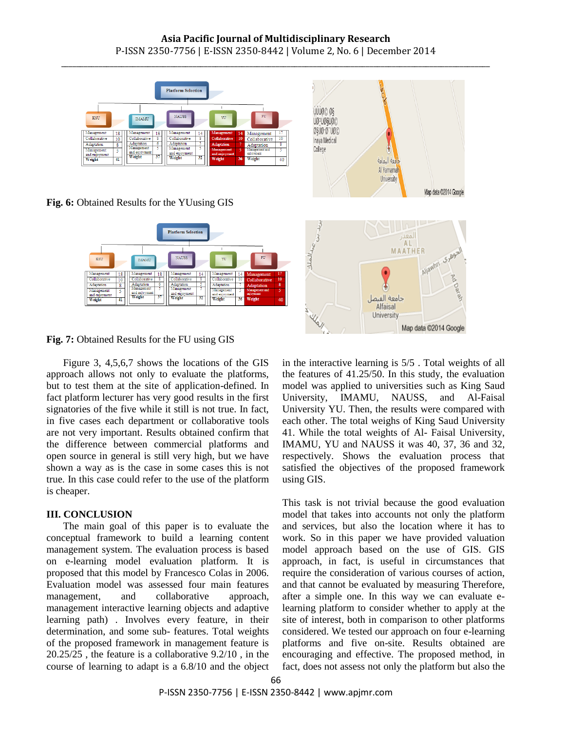# **Asia Pacific Journal of Multidisciplinary Research** P-ISSN 2350-7756 | E-ISSN 2350-8442 | Volume 2, No. 6 | December 2014 \_\_\_\_\_\_\_\_\_\_\_\_\_\_\_\_\_\_\_\_\_\_\_\_\_\_\_\_\_\_\_\_\_\_\_\_\_\_\_\_\_\_\_\_\_\_\_\_\_\_\_\_\_\_\_\_\_\_\_\_\_\_\_\_\_\_\_\_\_\_\_\_\_\_\_\_\_\_\_\_\_\_\_\_\_\_\_\_\_\_\_\_\_\_\_\_\_\_\_\_\_\_\_\_\_\_\_\_\_\_\_\_\_\_



**Fig. 6:** Obtained Results for the YUusing GIS





Figure 3, 4,5,6,7 shows the locations of the GIS approach allows not only to evaluate the platforms, but to test them at the site of application-defined. In fact platform lecturer has very good results in the first signatories of the five while it still is not true. In fact, in five cases each department or collaborative tools are not very important. Results obtained confirm that the difference between commercial platforms and open source in general is still very high, but we have shown a way as is the case in some cases this is not true. In this case could refer to the use of the platform is cheaper.

#### **III. CONCLUSION**

The main goal of this paper is to evaluate the conceptual framework to build a learning content management system. The evaluation process is based on e-learning model evaluation platform. It is proposed that this model by Francesco Colas in 2006. Evaluation model was assessed four main features management, and collaborative approach, management interactive learning objects and adaptive learning path) . Involves every feature, in their determination, and some sub- features. Total weights of the proposed framework in management feature is 20.25/25 , the feature is a collaborative 9.2/10 , in the course of learning to adapt is a 6.8/10 and the object



in the interactive learning is 5/5 . Total weights of all the features of 41.25/50. In this study, the evaluation model was applied to universities such as King Saud University, IMAMU, NAUSS, and Al-Faisal University YU. Then, the results were compared with each other. The total weighs of King Saud University 41. While the total weights of Al- Faisal University, IMAMU, YU and NAUSS it was 40, 37, 36 and 32, respectively. Shows the evaluation process that satisfied the objectives of the proposed framework using GIS.

This task is not trivial because the good evaluation model that takes into accounts not only the platform and services, but also the location where it has to work. So in this paper we have provided valuation model approach based on the use of GIS. GIS approach, in fact, is useful in circumstances that require the consideration of various courses of action, and that cannot be evaluated by measuring Therefore, after a simple one. In this way we can evaluate elearning platform to consider whether to apply at the site of interest, both in comparison to other platforms considered. We tested our approach on four e-learning platforms and five on-site. Results obtained are encouraging and effective. The proposed method, in fact, does not assess not only the platform but also the